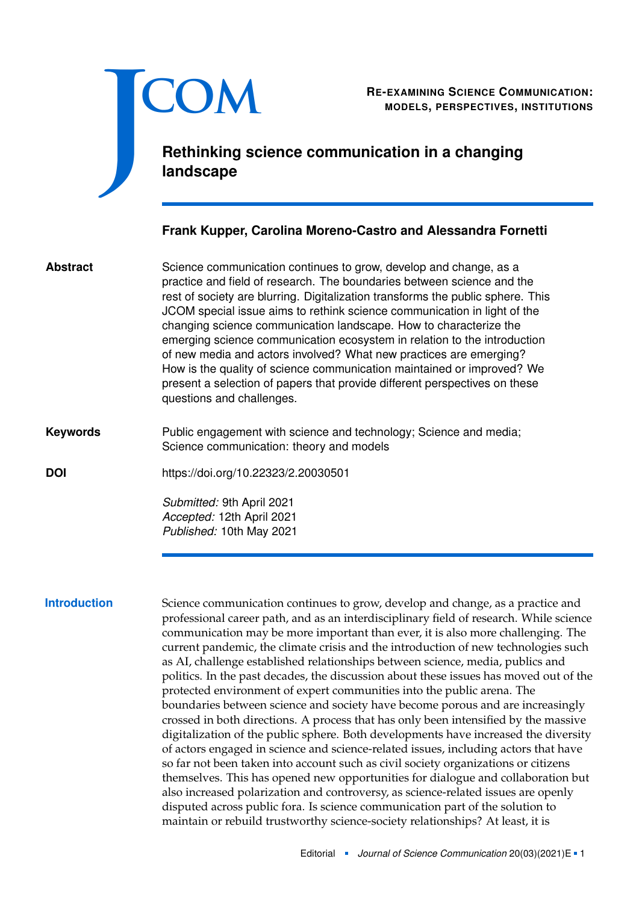

RE-EXAMINING SCIENCE COMMUNICATION:<br>MODELS, PERSPECTIVES, INSTITUTIONS **MODELS, PERSPECTIVES, INSTITUTIONS**

# **Rethinking science communication in a changing landscape**

# **Frank Kupper, Carolina Moreno-Castro and Alessandra Fornetti**

Science communication continues to grow, develop and change, as a practice and field of research. The boundaries between science and the rest of society are blurring. Digitalization transforms the public sphere. This JCOM special issue aims to rethink science communication in light of the changing science communication landscape. How to characterize the emerging science communication ecosystem in relation to the introduction of new media and actors involved? What new practices are emerging? How is the quality of science communication maintained or improved? We present a selection of papers that provide different perspectives on these questions and challenges. **Abstract**

Public engagement with science and technology; Science and media; Science communication: theory and models **Keywords**

**DOI** <https://doi.org/10.22323/2.20030501>

*Submitted:* 9th April 2021 *Accepted:* 12th April 2021 *Published:* 10th May 2021

**Introduction** Science communication continues to grow, develop and change, as a practice and professional career path, and as an interdisciplinary field of research. While science communication may be more important than ever, it is also more challenging. The current pandemic, the climate crisis and the introduction of new technologies such as AI, challenge established relationships between science, media, publics and politics. In the past decades, the discussion about these issues has moved out of the protected environment of expert communities into the public arena. The boundaries between science and society have become porous and are increasingly crossed in both directions. A process that has only been intensified by the massive digitalization of the public sphere. Both developments have increased the diversity of actors engaged in science and science-related issues, including actors that have so far not been taken into account such as civil society organizations or citizens themselves. This has opened new opportunities for dialogue and collaboration but also increased polarization and controversy, as science-related issues are openly disputed across public fora. Is science communication part of the solution to maintain or rebuild trustworthy science-society relationships? At least, it is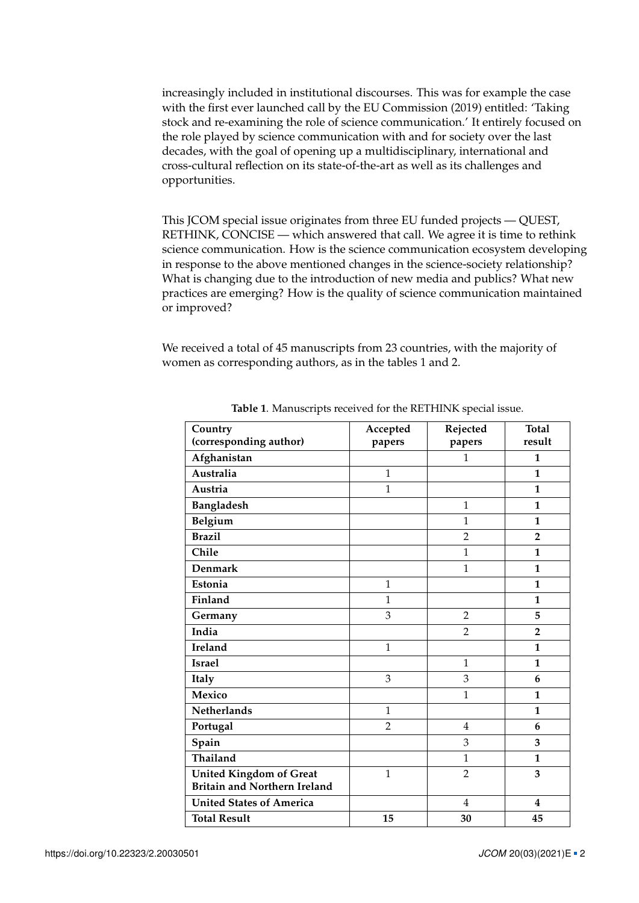increasingly included in institutional discourses. This was for example the case with the first ever launched call by the EU Commission (2019) entitled: 'Taking stock and re-examining the role of science communication.' It entirely focused on the role played by science communication with and for society over the last decades, with the goal of opening up a multidisciplinary, international and cross-cultural reflection on its state-of-the-art as well as its challenges and opportunities.

This JCOM special issue originates from three EU funded projects — QUEST, RETHINK, CONCISE — which answered that call. We agree it is time to rethink science communication. How is the science communication ecosystem developing in response to the above mentioned changes in the science-society relationship? What is changing due to the introduction of new media and publics? What new practices are emerging? How is the quality of science communication maintained or improved?

We received a total of 45 manuscripts from 23 countries, with the majority of women as corresponding authors, as in the tables [1](#page-1-0) and [2.](#page-2-0)

| Country<br>(corresponding author)   | Accepted<br>papers | Rejected<br>papers | <b>Total</b><br>result  |
|-------------------------------------|--------------------|--------------------|-------------------------|
| Afghanistan                         |                    | $\mathbf{1}$       | 1                       |
|                                     |                    |                    |                         |
| Australia                           | $\mathbf{1}$       |                    | $\mathbf{1}$            |
| Austria                             | $\mathbf{1}$       |                    | $\mathbf{1}$            |
| Bangladesh                          |                    | $\mathbf{1}$       | 1                       |
| Belgium                             |                    | $\mathbf{1}$       | 1                       |
| <b>Brazil</b>                       |                    | $\overline{2}$     | $\overline{2}$          |
| Chile                               |                    | $\mathbf{1}$       | 1                       |
| <b>Denmark</b>                      |                    | $\mathbf{1}$       | $\mathbf{1}$            |
| Estonia                             | $\mathbf{1}$       |                    | $\mathbf{1}$            |
| Finland                             | $\overline{1}$     |                    | 1                       |
| Germany                             | 3                  | $\overline{2}$     | 5                       |
| India                               |                    | $\overline{2}$     | $\overline{2}$          |
| Ireland                             | $\mathbf{1}$       |                    | 1                       |
| <b>Israel</b>                       |                    | $\mathbf{1}$       | 1                       |
| <b>Italy</b>                        | 3                  | 3                  | 6                       |
| Mexico                              |                    | $\mathbf{1}$       | 1                       |
| Netherlands                         | $\mathbf{1}$       |                    | $\mathbf{1}$            |
| Portugal                            | $\overline{2}$     | $\overline{4}$     | 6                       |
| Spain                               |                    | 3                  | 3                       |
| Thailand                            |                    | $\mathbf{1}$       | 1                       |
| <b>United Kingdom of Great</b>      | $\mathbf{1}$       | $\overline{2}$     | 3                       |
| <b>Britain and Northern Ireland</b> |                    |                    |                         |
| <b>United States of America</b>     |                    | $\overline{4}$     | $\overline{\mathbf{4}}$ |
| <b>Total Result</b>                 | 15                 | 30                 | 45                      |

<span id="page-1-0"></span>**Table 1**. Manuscripts received for the RETHINK special issue.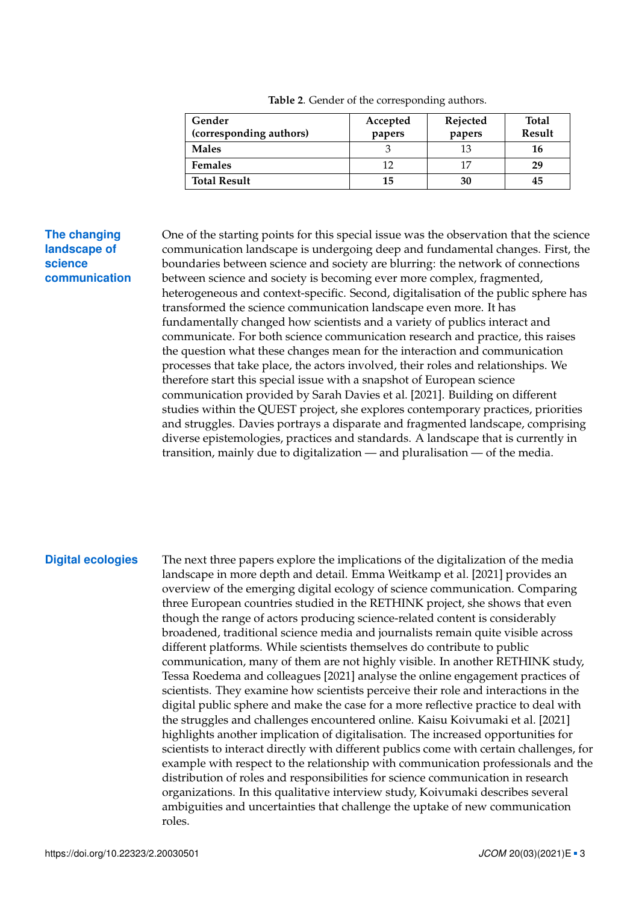| Gender<br>(corresponding authors) | Accepted<br>papers | Rejected<br>papers | Total<br>Result |
|-----------------------------------|--------------------|--------------------|-----------------|
| <b>Males</b>                      |                    | 13                 | 16              |
| <b>Females</b>                    |                    |                    | 29              |
| <b>Total Result</b>               | 15                 | 30                 | 45              |

<span id="page-2-0"></span>**Table 2**. Gender of the corresponding authors.

# **The changing landscape of science communication**

One of the starting points for this special issue was the observation that the science communication landscape is undergoing deep and fundamental changes. First, the boundaries between science and society are blurring: the network of connections between science and society is becoming ever more complex, fragmented, heterogeneous and context-specific. Second, digitalisation of the public sphere has transformed the science communication landscape even more. It has fundamentally changed how scientists and a variety of publics interact and communicate. For both science communication research and practice, this raises the question what these changes mean for the interaction and communication processes that take place, the actors involved, their roles and relationships. We therefore start this special issue with a snapshot of European science communication provided by Sarah Davies et al. [\[2021\]](#page-4-0). Building on different studies within the QUEST project, she explores contemporary practices, priorities and struggles. Davies portrays a disparate and fragmented landscape, comprising diverse epistemologies, practices and standards. A landscape that is currently in transition, mainly due to digitalization — and pluralisation — of the media.

**Digital ecologies** The next three papers explore the implications of the digitalization of the media landscape in more depth and detail. Emma Weitkamp et al. [\[2021\]](#page-5-0) provides an overview of the emerging digital ecology of science communication. Comparing three European countries studied in the RETHINK project, she shows that even though the range of actors producing science-related content is considerably broadened, traditional science media and journalists remain quite visible across different platforms. While scientists themselves do contribute to public communication, many of them are not highly visible. In another RETHINK study, Tessa Roedema and colleagues [\[2021\]](#page-5-1) analyse the online engagement practices of scientists. They examine how scientists perceive their role and interactions in the digital public sphere and make the case for a more reflective practice to deal with the struggles and challenges encountered online. Kaisu Koivumaki et al. [\[2021\]](#page-5-2) highlights another implication of digitalisation. The increased opportunities for scientists to interact directly with different publics come with certain challenges, for example with respect to the relationship with communication professionals and the distribution of roles and responsibilities for science communication in research organizations. In this qualitative interview study, Koivumaki describes several ambiguities and uncertainties that challenge the uptake of new communication roles.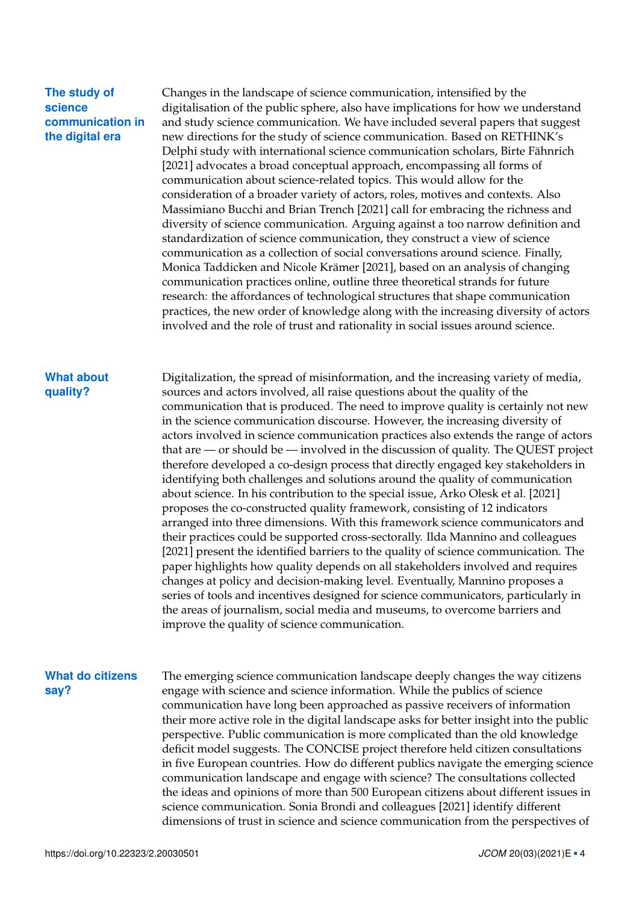### **The study of science communication in the digital era**

Changes in the landscape of science communication, intensified by the digitalisation of the public sphere, also have implications for how we understand and study science communication. We have included several papers that suggest new directions for the study of science communication. Based on RETHINK's Delphi study with international science communication scholars, Birte Fähnrich [\[2021\]](#page-5-3) advocates a broad conceptual approach, encompassing all forms of communication about science-related topics. This would allow for the consideration of a broader variety of actors, roles, motives and contexts. Also Massimiano Bucchi and Brian Trench [\[2021\]](#page-4-1) call for embracing the richness and diversity of science communication. Arguing against a too narrow definition and standardization of science communication, they construct a view of science communication as a collection of social conversations around science. Finally, Monica Taddicken and Nicole Krämer [\[2021\]](#page-5-4), based on an analysis of changing communication practices online, outline three theoretical strands for future research: the affordances of technological structures that shape communication practices, the new order of knowledge along with the increasing diversity of actors involved and the role of trust and rationality in social issues around science.

### **What about quality?**

Digitalization, the spread of misinformation, and the increasing variety of media, sources and actors involved, all raise questions about the quality of the communication that is produced. The need to improve quality is certainly not new in the science communication discourse. However, the increasing diversity of actors involved in science communication practices also extends the range of actors that are — or should be — involved in the discussion of quality. The QUEST project therefore developed a co-design process that directly engaged key stakeholders in identifying both challenges and solutions around the quality of communication about science. In his contribution to the special issue, Arko Olesk et al. [\[2021\]](#page-5-5) proposes the co-constructed quality framework, consisting of 12 indicators arranged into three dimensions. With this framework science communicators and their practices could be supported cross-sectorally. Ilda Mannino and colleagues [\[2021\]](#page-5-6) present the identified barriers to the quality of science communication. The paper highlights how quality depends on all stakeholders involved and requires changes at policy and decision-making level. Eventually, Mannino proposes a series of tools and incentives designed for science communicators, particularly in the areas of journalism, social media and museums, to overcome barriers and improve the quality of science communication.

### **What do citizens say?**

The emerging science communication landscape deeply changes the way citizens engage with science and science information. While the publics of science communication have long been approached as passive receivers of information their more active role in the digital landscape asks for better insight into the public perspective. Public communication is more complicated than the old knowledge deficit model suggests. The CONCISE project therefore held citizen consultations in five European countries. How do different publics navigate the emerging science communication landscape and engage with science? The consultations collected the ideas and opinions of more than 500 European citizens about different issues in science communication. Sonia Brondi and colleagues [\[2021\]](#page-4-2) identify different dimensions of trust in science and science communication from the perspectives of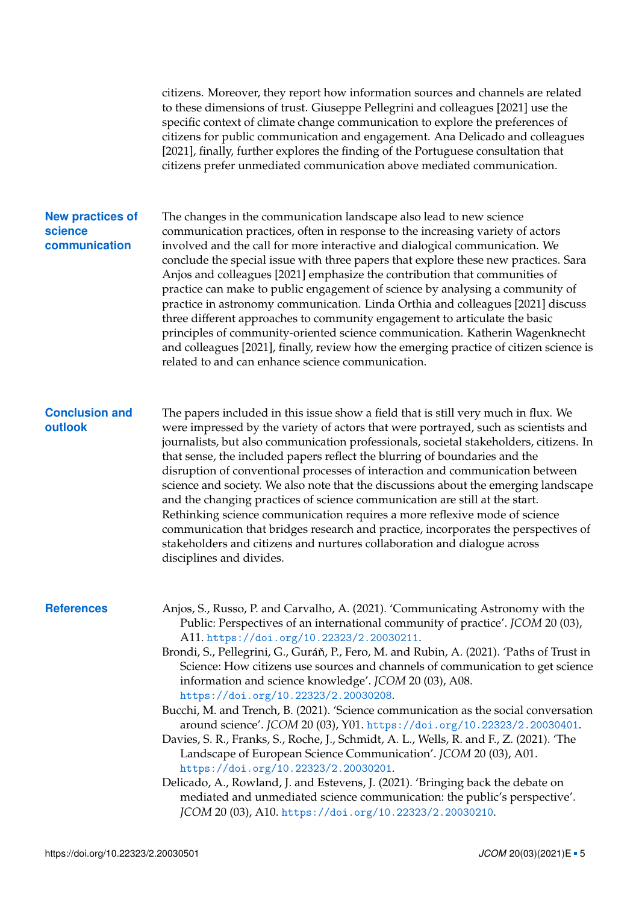citizens. Moreover, they report how information sources and channels are related to these dimensions of trust. Giuseppe Pellegrini and colleagues [\[2021\]](#page-5-7) use the specific context of climate change communication to explore the preferences of citizens for public communication and engagement. Ana Delicado and colleagues [\[2021\]](#page-4-3), finally, further explores the finding of the Portuguese consultation that citizens prefer unmediated communication above mediated communication.

### **New practices of science communication**

The changes in the communication landscape also lead to new science communication practices, often in response to the increasing variety of actors involved and the call for more interactive and dialogical communication. We conclude the special issue with three papers that explore these new practices. Sara Anjos and colleagues [\[2021\]](#page-4-4) emphasize the contribution that communities of practice can make to public engagement of science by analysing a community of practice in astronomy communication. Linda Orthia and colleagues [\[2021\]](#page-5-8) discuss three different approaches to community engagement to articulate the basic principles of community-oriented science communication. Katherin Wagenknecht and colleagues [\[2021\]](#page-5-9), finally, review how the emerging practice of citizen science is related to and can enhance science communication.

### **Conclusion and outlook**

The papers included in this issue show a field that is still very much in flux. We were impressed by the variety of actors that were portrayed, such as scientists and journalists, but also communication professionals, societal stakeholders, citizens. In that sense, the included papers reflect the blurring of boundaries and the disruption of conventional processes of interaction and communication between science and society. We also note that the discussions about the emerging landscape and the changing practices of science communication are still at the start. Rethinking science communication requires a more reflexive mode of science communication that bridges research and practice, incorporates the perspectives of stakeholders and citizens and nurtures collaboration and dialogue across disciplines and divides.

- <span id="page-4-4"></span><span id="page-4-3"></span><span id="page-4-2"></span><span id="page-4-1"></span><span id="page-4-0"></span>**References** Anjos, S., Russo, P. and Carvalho, A. (2021). 'Communicating Astronomy with the Public: Perspectives of an international community of practice'. *JCOM* 20 (03), A11. <https://doi.org/10.22323/2.20030211>.
	- Brondi, S., Pellegrini, G., Guráň, P., Fero, M. and Rubin, A. (2021). 'Paths of Trust in Science: How citizens use sources and channels of communication to get science information and science knowledge'. *JCOM* 20 (03), A08. <https://doi.org/10.22323/2.20030208>.
	- Bucchi, M. and Trench, B. (2021). 'Science communication as the social conversation around science'. *JCOM* 20 (03), Y01. <https://doi.org/10.22323/2.20030401>.
	- Davies, S. R., Franks, S., Roche, J., Schmidt, A. L., Wells, R. and F., Z. (2021). 'The Landscape of European Science Communication'. *JCOM* 20 (03), A01. <https://doi.org/10.22323/2.20030201>.
	- Delicado, A., Rowland, J. and Estevens, J. (2021). 'Bringing back the debate on mediated and unmediated science communication: the public's perspective'. *JCOM* 20 (03), A10. <https://doi.org/10.22323/2.20030210>.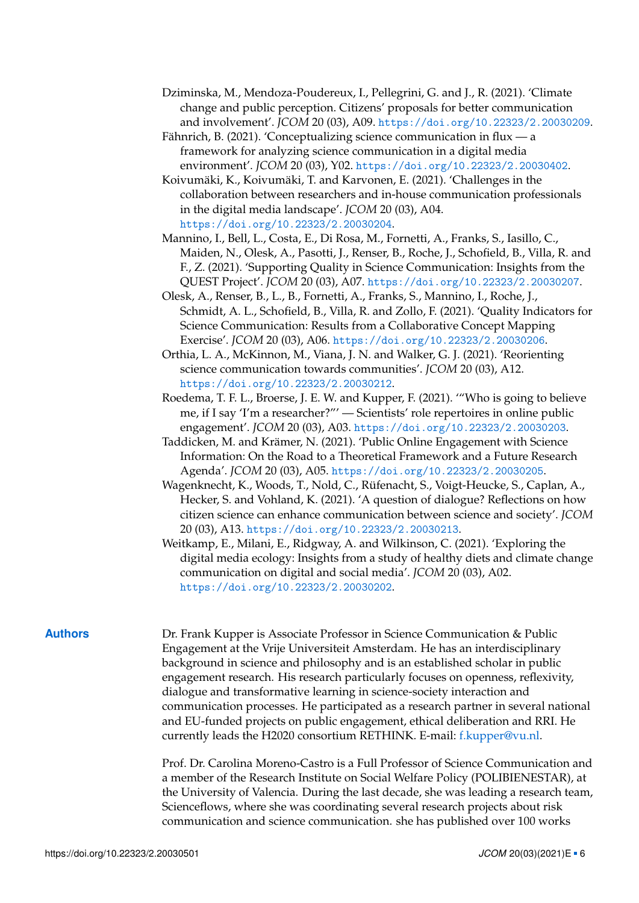- <span id="page-5-7"></span>Dziminska, M., Mendoza-Poudereux, I., Pellegrini, G. and J., R. (2021). 'Climate change and public perception. Citizens' proposals for better communication and involvement'. *JCOM* 20 (03), A09. <https://doi.org/10.22323/2.20030209>.
- <span id="page-5-3"></span>Fähnrich, B. (2021). 'Conceptualizing science communication in flux — a framework for analyzing science communication in a digital media environment'. *JCOM* 20 (03), Y02. <https://doi.org/10.22323/2.20030402>.
- <span id="page-5-2"></span>Koivumäki, K., Koivumäki, T. and Karvonen, E. (2021). 'Challenges in the collaboration between researchers and in-house communication professionals in the digital media landscape'. *JCOM* 20 (03), A04. <https://doi.org/10.22323/2.20030204>.
- <span id="page-5-6"></span>Mannino, I., Bell, L., Costa, E., Di Rosa, M., Fornetti, A., Franks, S., Iasillo, C., Maiden, N., Olesk, A., Pasotti, J., Renser, B., Roche, J., Schofield, B., Villa, R. and F., Z. (2021). 'Supporting Quality in Science Communication: Insights from the QUEST Project'. *JCOM* 20 (03), A07. <https://doi.org/10.22323/2.20030207>.
- <span id="page-5-5"></span>Olesk, A., Renser, B., L., B., Fornetti, A., Franks, S., Mannino, I., Roche, J., Schmidt, A. L., Schofield, B., Villa, R. and Zollo, F. (2021). 'Quality Indicators for Science Communication: Results from a Collaborative Concept Mapping Exercise'. *JCOM* 20 (03), A06. <https://doi.org/10.22323/2.20030206>.
- <span id="page-5-8"></span>Orthia, L. A., McKinnon, M., Viana, J. N. and Walker, G. J. (2021). 'Reorienting science communication towards communities'. *JCOM* 20 (03), A12. <https://doi.org/10.22323/2.20030212>.
- <span id="page-5-1"></span>Roedema, T. F. L., Broerse, J. E. W. and Kupper, F. (2021). '"Who is going to believe me, if I say 'I'm a researcher?"' — Scientists' role repertoires in online public engagement'. *JCOM* 20 (03), A03. <https://doi.org/10.22323/2.20030203>.
- <span id="page-5-4"></span>Taddicken, M. and Krämer, N. (2021). 'Public Online Engagement with Science Information: On the Road to a Theoretical Framework and a Future Research Agenda'. *JCOM* 20 (03), A05. <https://doi.org/10.22323/2.20030205>.
- <span id="page-5-9"></span>Wagenknecht, K., Woods, T., Nold, C., Rüfenacht, S., Voigt-Heucke, S., Caplan, A., Hecker, S. and Vohland, K. (2021). 'A question of dialogue? Reflections on how citizen science can enhance communication between science and society'. *JCOM* 20 (03), A13. <https://doi.org/10.22323/2.20030213>.
- <span id="page-5-0"></span>Weitkamp, E., Milani, E., Ridgway, A. and Wilkinson, C. (2021). 'Exploring the digital media ecology: Insights from a study of healthy diets and climate change communication on digital and social media'. *JCOM* 20 (03), A02. <https://doi.org/10.22323/2.20030202>.

**Authors** Dr. Frank Kupper is Associate Professor in Science Communication & Public Engagement at the Vrije Universiteit Amsterdam. He has an interdisciplinary background in science and philosophy and is an established scholar in public engagement research. His research particularly focuses on openness, reflexivity, dialogue and transformative learning in science-society interaction and communication processes. He participated as a research partner in several national and EU-funded projects on public engagement, ethical deliberation and RRI. He currently leads the H2020 consortium RETHINK. E-mail: [f.kupper@vu.nl.](mailto:f.kupper@vu.nl)

> Prof. Dr. Carolina Moreno-Castro is a Full Professor of Science Communication and a member of the Research Institute on Social Welfare Policy (POLIBIENESTAR), at the University of Valencia. During the last decade, she was leading a research team, Scienceflows, where she was coordinating several research projects about risk communication and science communication. she has published over 100 works